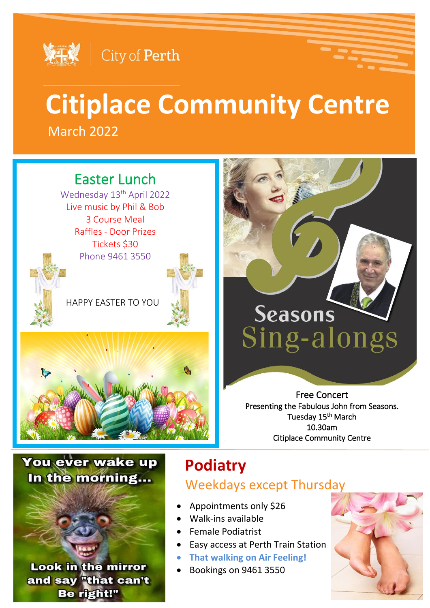

### City of Perth

## March 2022 **Citiplace Community Centre**

### Easter Lunch

Wednesday 13<sup>th</sup> April 2022 Live music by Phil & Bob 3 Course Meal Raffles - Door Prizes Tickets \$30 Phone 9461 3550

HAPPY EASTER TO YOU





# Seasons Sing-alongs

Free Concert Presenting the Fabulous John from Seasons. Tuesday 15<sup>th</sup> March 10.30am Citiplace Community Centre

### You ever wake up In the morning...

**Look in the mirror** and say "that can't Be right!"

## **Podiatry**

### Weekdays except Thursday

- Appointments only \$26
- Walk-ins available
- Female Podiatrist
- Easy access at Perth Train Station
- **That walking on Air Feeling!**
- Bookings on 9461 3550

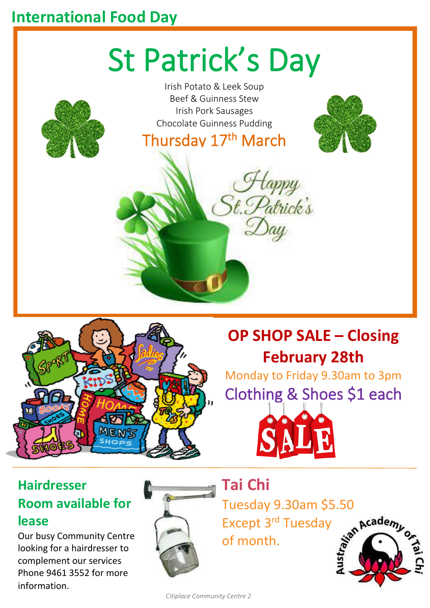### **International Food Day**

# St Patrick's Day





## **OP SHOP SALE – Closing February 28th**

Monday to Friday 9.30am to 3pm Clothing & Shoes \$1 each



### **Hairdresser Room available for lease**

Our busy Community Centre looking for a hairdresser to complement our services Phone 9461 3552 for more information.



**Tai Chi** 

Tuesday 9.30am \$5.50<br>Except 3<sup>rd</sup> Tuesday<br>of month. Except 3rd Tuesday of month.



*Citiplace Community Centre 2*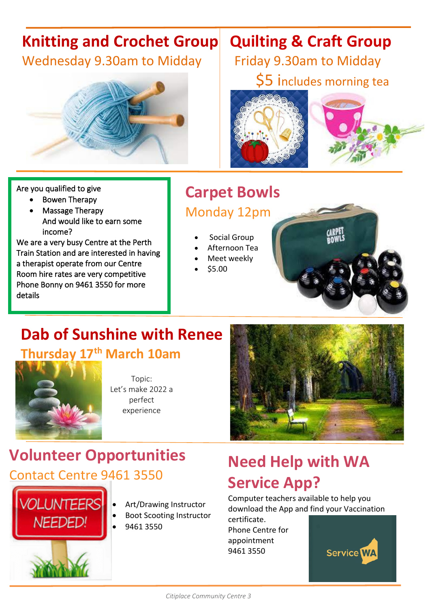# **Knitting and Crochet Group Quilting & Craft Group**



### Are you qualified to give

- Bowen Therapy
- Massage Therapy And would like to earn some income?

We are a very busy Centre at the Perth Train Station and are interested in having a therapist operate from our Centre Room hire rates are very competitive Phone Bonny on 9461 3550 for more details

Wednesday 9.30am to Midday | Friday 9.30am to Midday \$5 includes morning tea





## **Carpet Bowls**

### Monday 12pm

- Social Group
- Afternoon Tea
- Meet weekly
- \$5.00

## **Dab of Sunshine with Renee**

**Thursday 17th March 10am** 



Topic: Let's make 2022 a perfect experience

## **Volunteer Opportunities** Contact Centre 9461 3550



- Art/Drawing Instructor
- Boot Scooting Instructor
	- 9461 3550

## **Need Help with WA Service App?**

Computer teachers available to help you download the App and find your Vaccination

certificate. Phone Centre for appointment 9461 3550

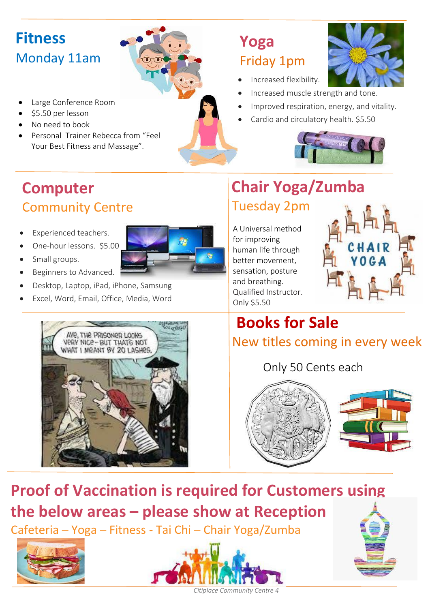## **Fitness** Monday 11am

- Large Conference Room
- \$5.50 per lesson
- No need to book
- Personal Trainer Rebecca from "Feel Your Best Fitness and Massage".

## **Yoga**  Friday 1pm

- Increased flexibility.
- Increased muscle strength and tone.
- Improved respiration, energy, and vitality.
- Cardio and circulatory health. \$5.50



## **Computer Community Centre**

- Experienced teachers.
	- One-hour lessons. \$5.00



- Small groups.
- Beginners to Advanced.
- Desktop, Laptop, iPad, iPhone, Samsung
- Excel, Word, Email, Office, Media, Word



## **Chair Yoga/Zumba** Tuesday 2pm

A Universal method for improving human life through better movement, sensation, posture and breathing. Qualified Instructor. Only \$5.50



### **Books for Sale** New titles coming in every week

Only 50 Cents each





## **Proof of Vaccination is required for Customers using**

**the below areas – please show at Reception**

Cafeteria – Yoga – Fitness - Tai Chi – Chair Yoga/Zumba







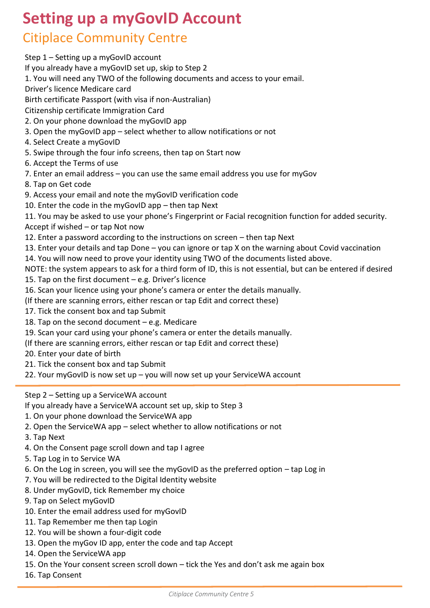### **Setting up a myGovID Account** Citiplace Community Centre

Step 1 – Setting up a myGovID account If you already have a myGovID set up, skip to Step 2 1. You will need any TWO of the following documents and access to your email. Driver's licence Medicare card Birth certificate Passport (with visa if non-Australian) Citizenship certificate Immigration Card 2. On your phone download the myGovID app 3. Open the myGovID app – select whether to allow notifications or not 4. Select Create a myGovID 5. Swipe through the four info screens, then tap on Start now 6. Accept the Terms of use 7. Enter an email address – you can use the same email address you use for myGov 8. Tap on Get code 9. Access your email and note the myGovID verification code 10. Enter the code in the myGovID app – then tap Next 11. You may be asked to use your phone's Fingerprint or Facial recognition function for added security. Accept if wished – or tap Not now 12. Enter a password according to the instructions on screen – then tap Next 13. Enter your details and tap Done – you can ignore or tap X on the warning about Covid vaccination 14. You will now need to prove your identity using TWO of the documents listed above. NOTE: the system appears to ask for a third form of ID, this is not essential, but can be entered if desired 15. Tap on the first document – e.g. Driver's licence 16. Scan your licence using your phone's camera or enter the details manually. (If there are scanning errors, either rescan or tap Edit and correct these) 17. Tick the consent box and tap Submit 18. Tap on the second document  $-e.g.$  Medicare 19. Scan your card using your phone's camera or enter the details manually. (If there are scanning errors, either rescan or tap Edit and correct these) 20. Enter your date of birth 21. Tick the consent box and tap Submit 22. Your myGovID is now set up – you will now set up your ServiceWA account Step 2 – Setting up a ServiceWA account If you already have a ServiceWA account set up, skip to Step 3 1. On your phone download the ServiceWA app 2. Open the ServiceWA app – select whether to allow notifications or not

3. Tap Next

- 4. On the Consent page scroll down and tap I agree
- 5. Tap Log in to Service WA
- 6. On the Log in screen, you will see the myGovID as the preferred option tap Log in
- 7. You will be redirected to the Digital Identity website
- 8. Under myGovID, tick Remember my choice
- 9. Tap on Select myGovID
- 10. Enter the email address used for myGovID
- 11. Tap Remember me then tap Login
- 12. You will be shown a four-digit code
- 13. Open the myGov ID app, enter the code and tap Accept
- 14. Open the ServiceWA app
- 15. On the Your consent screen scroll down tick the Yes and don't ask me again box
- 16. Tap Consent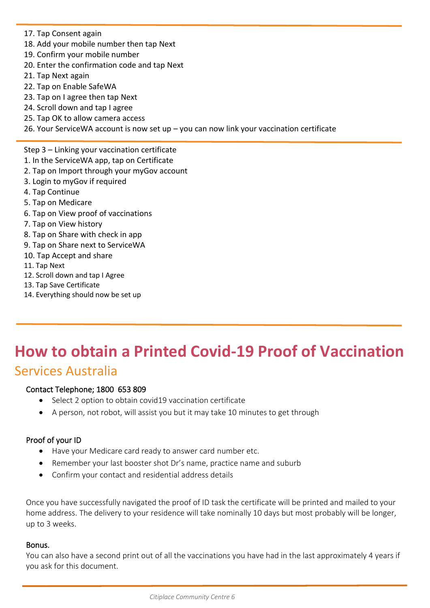- 17. Tap Consent again
- 18. Add your mobile number then tap Next
- 19. Confirm your mobile number
- 20. Enter the confirmation code and tap Next
- zo. Enter the comm<br>21. Tap Next again
- **22. Tap on Enable SafeWA**
- 23. Tap on I agree then tap Next
- 24. Scroll down and tap I agree
- 25. Tap OK to allow camera access
- 26. Your ServiceWA account is now set up you can now link your vaccination certificate
- Step 3 Linking your vaccination certificate
- 1. In the ServiceWA app, tap on Certificate
- 2. Tap on Import through your myGov account
- 3. Login to myGov if required
- 4. Tap Continue
- 5. Tap on Medicare
- 6. Tap on View proof of vaccinations<br>7. Tap on View bistory
- 7. Tap on View history
- 2. Tap on Thew Thecary<br>8. Tap on Share with check in app
- 9. Tap on Share next to ServiceWA
- 10. Tap Accept and share
- 11. Tap Next

Ī

- 12. Scroll down and tap I Agree
- 12. Scron down and tap<br>13. Tap Save Certificate
- 14. Everything should now be set up

### **How to obtain a Printed Covid-19 Proof of Vaccination** Services Australia ۱

### Contact Telephone; 1800 653 809

- Select 2 option to obtain covid19 vaccination certificate
- A person, not robot, will assist you but it may take 10 minutes to get through

### Proof of your ID

- Have your Medicare card ready to answer card number etc.
- Remember your last booster shot Dr's name, practice name and suburb
- Confirm your contact and residential address details

Once you have successfully navigated the proof of ID task the certificate will be printed and mailed to your home address. The delivery to your residence will take nominally 10 days but most probably will be longer, up to 3 weeks.

### Bonus.

You can also have a second print out of all the vaccinations you have had in the last approximately 4 years if you ask for this document.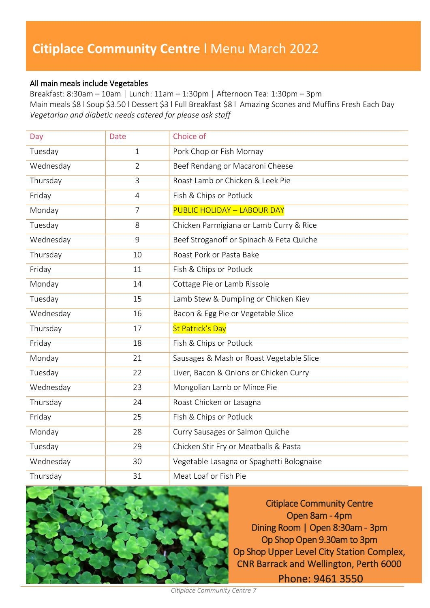### **Citiplace Community Centre** l Menu March 2022

### All main meals include Vegetables

Breakfast: 8:30am – 10am | Lunch: 11am – 1:30pm | Afternoon Tea: 1:30pm – 3pm Main meals \$8 l Soup \$3.50 l Dessert \$3 l Full Breakfast \$8 l Amazing Scones and Muffins Fresh Each Day *Vegetarian and diabetic needs catered for please ask staff*

| Day       | <b>Date</b>    | Choice of                                 |  |  |
|-----------|----------------|-------------------------------------------|--|--|
| Tuesday   | $\mathbf{1}$   | Pork Chop or Fish Mornay                  |  |  |
| Wednesday | $\overline{2}$ | Beef Rendang or Macaroni Cheese           |  |  |
| Thursday  | 3              | Roast Lamb or Chicken & Leek Pie          |  |  |
| Friday    | $\overline{4}$ | Fish & Chips or Potluck                   |  |  |
| Monday    | $\overline{7}$ | <b>PUBLIC HOLIDAY - LABOUR DAY</b>        |  |  |
| Tuesday   | 8              | Chicken Parmigiana or Lamb Curry & Rice   |  |  |
| Wednesday | 9              | Beef Stroganoff or Spinach & Feta Quiche  |  |  |
| Thursday  | 10             | Roast Pork or Pasta Bake                  |  |  |
| Friday    | 11             | Fish & Chips or Potluck                   |  |  |
| Monday    | 14             | Cottage Pie or Lamb Rissole               |  |  |
| Tuesday   | 15             | Lamb Stew & Dumpling or Chicken Kiev      |  |  |
| Wednesday | 16             | Bacon & Egg Pie or Vegetable Slice        |  |  |
| Thursday  | 17             | <b>St Patrick's Day</b>                   |  |  |
| Friday    | 18             | Fish & Chips or Potluck                   |  |  |
| Monday    | 21             | Sausages & Mash or Roast Vegetable Slice  |  |  |
| Tuesday   | 22             | Liver, Bacon & Onions or Chicken Curry    |  |  |
| Wednesday | 23             | Mongolian Lamb or Mince Pie               |  |  |
| Thursday  | 24             | Roast Chicken or Lasagna                  |  |  |
| Friday    | 25             | Fish & Chips or Potluck                   |  |  |
| Monday    | 28             | Curry Sausages or Salmon Quiche           |  |  |
| Tuesday   | 29             | Chicken Stir Fry or Meatballs & Pasta     |  |  |
| Wednesday | 30             | Vegetable Lasagna or Spaghetti Bolognaise |  |  |
| Thursday  | 31             | Meat Loaf or Fish Pie                     |  |  |



Citiplace Community Centre Open 8am - 4pm Dining Room | Open 8:30am - 3pm Op Shop Open 9.30am to 3pm Op Shop Upper Level City Station Complex, CNR Barrack and Wellington, Perth 6000 Phone: 9461 3550